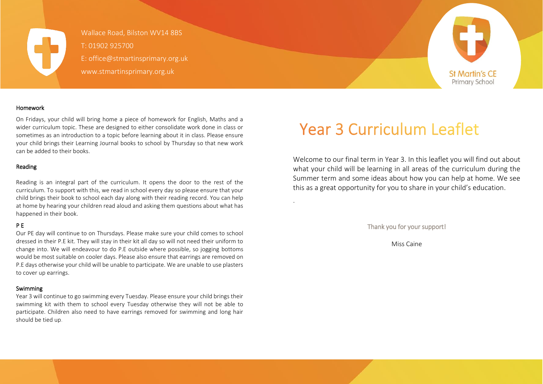

Wallace Road, Bilston WV14 8BS T: 01902 925700 E: office@stmartinsprimary.org.uk www.stmartinsprimary.org.uk



#### Homework

On Fridays, your child will bring home a piece of homework for English, Maths and a wider curriculum topic. These are designed to either consolidate work done in class or sometimes as an introduction to a topic before learning about it in class. Please ensure your child brings their Learning Journal books to school by Thursday so that new work can be added to their books.

#### Reading

Reading is an integral part of the curriculum. It opens the door to the rest of the curriculum. To support with this, we read in school every day so please ensure that your child brings their book to school each day along with their reading record. You can help at home by hearing your children read aloud and asking them questions about what has happened in their book.

#### P E

Our PE day will continue to on Thursdays. Please make sure your child comes to school dressed in their P.E kit. They will stay in their kit all day so will not need their uniform to change into. We will endeavour to do P.E outside where possible, so jogging bottoms would be most suitable on cooler days. Please also ensure that earrings are removed on P.E days otherwise your child will be unable to participate. We are unable to use plasters to cover up earrings.

#### Swimming

Year 3 will continue to go swimming every Tuesday. Please ensure your child brings their swimming kit with them to school every Tuesday otherwise they will not be able to participate. Children also need to have earrings removed for swimming and long hair should be tied up.

# **Year 3 Curriculum Leaflet**

.

Welcome to our final term in Year 3. In this leaflet you will find out about what your child will be learning in all areas of the curriculum during the Summer term and some ideas about how you can help at home. We see this as a great opportunity for you to share in your child's education.

Thank you for your support!

Miss Caine